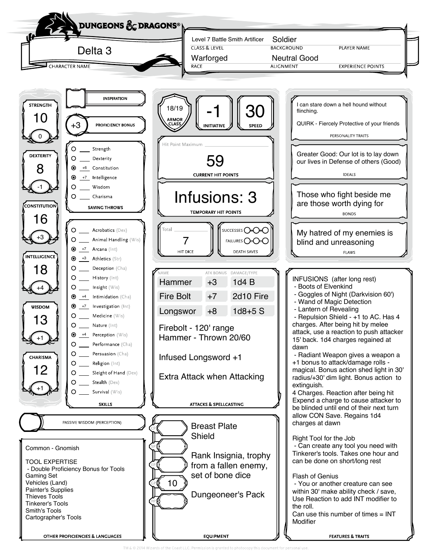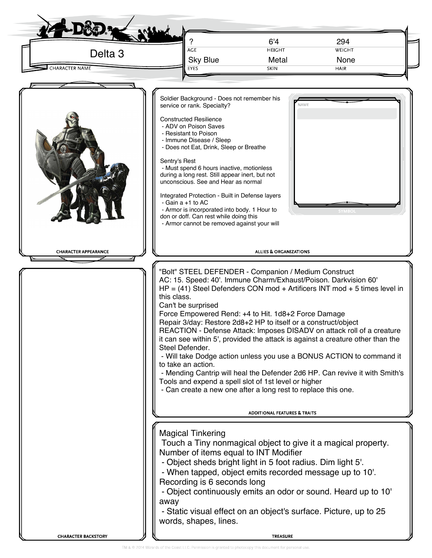| Delta <sub>3</sub><br><b>CHARACTER NAME</b> | AGE<br><b>Sky Blue</b><br>EYES                                                                                                                                                                                                                                                                                                                                                                                                                                                                                                                                                                                                                                                                                                                                                                                                        | 6'4<br><b>HEIGHT</b><br>Metal<br><b>SKIN</b> | 294<br>WEIGHT<br>None<br>HAIR |  |  |  |
|---------------------------------------------|---------------------------------------------------------------------------------------------------------------------------------------------------------------------------------------------------------------------------------------------------------------------------------------------------------------------------------------------------------------------------------------------------------------------------------------------------------------------------------------------------------------------------------------------------------------------------------------------------------------------------------------------------------------------------------------------------------------------------------------------------------------------------------------------------------------------------------------|----------------------------------------------|-------------------------------|--|--|--|
| <b>CHARACTER APPEARANCE</b>                 | Soldier Background - Does not remember his<br>service or rank. Specialty?<br><b>Constructed Resilience</b><br>- ADV on Poison Saves<br>- Resistant to Poison<br>- Immune Disease / Sleep<br>- Does not Eat, Drink, Sleep or Breathe<br>Sentry's Rest<br>- Must spend 6 hours inactive, motionless<br>during a long rest. Still appear inert, but not<br>unconscious. See and Hear as normal<br>Integrated Protection - Built in Defense layers<br>- Gain a +1 to AC<br>- Armor is incorporated into body. 1 Hour to<br>don or doff. Can rest while doing this<br>- Armor cannot be removed against your will<br>"Bolt" STEEL DEFENDER - Companion / Medium Construct<br>AC: 15. Speed: 40'. Immune Charm/Exhaust/Poison. Darkvision 60'<br>$HP = (41)$ Steel Defenders CON mod + Artificers INT mod + 5 times level in<br>this class. | NAME<br><b>ALLIES &amp; ORGANIZATIONS</b>    |                               |  |  |  |
|                                             | Can't be surprised<br>Force Empowered Rend: +4 to Hit. 1d8+2 Force Damage<br>Repair 3/day: Restore 2d8+2 HP to itself or a construct/object<br>REACTION - Defense Attack: Imposes DISADV on attack roll of a creature<br>it can see within 5', provided the attack is against a creature other than the<br>Steel Defender.<br>- Will take Dodge action unless you use a BONUS ACTION to command it<br>to take an action.<br>- Mending Cantrip will heal the Defender 2d6 HP. Can revive it with Smith's<br>Tools and expend a spell slot of 1st level or higher<br>- Can create a new one after a long rest to replace this one.                                                                                                                                                                                                      |                                              |                               |  |  |  |
|                                             | <b>ADDITIONAL FEATURES &amp; TRAITS</b><br><b>Magical Tinkering</b><br>Touch a Tiny nonmagical object to give it a magical property.<br>Number of items equal to INT Modifier<br>- Object sheds bright light in 5 foot radius. Dim light 5'.<br>- When tapped, object emits recorded message up to 10'.<br>Recording is 6 seconds long<br>- Object continuously emits an odor or sound. Heard up to 10'<br>away<br>- Static visual effect on an object's surface. Picture, up to 25<br>words, shapes, lines.                                                                                                                                                                                                                                                                                                                          |                                              |                               |  |  |  |
|                                             |                                                                                                                                                                                                                                                                                                                                                                                                                                                                                                                                                                                                                                                                                                                                                                                                                                       |                                              |                               |  |  |  |